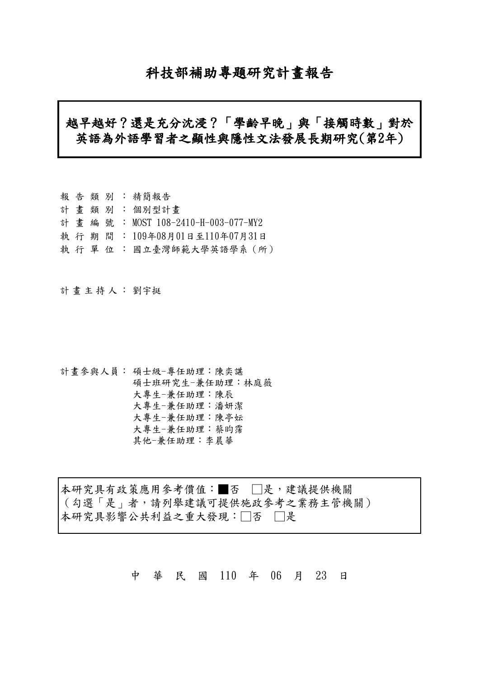# 科技部補助專題研究計畫報告

# 越早越好?還是充分沈浸?「學齡早晚」與「接觸時數」對於 英語為外語學習者之顯性與隱性文法發展長期研究(第2年)

|  |  | 報告類別:精簡報告                         |
|--|--|-----------------------------------|
|  |  | 計畫類別:個別型計畫                        |
|  |  | 計畫編號: MOST 108-2410-H-003-077-MY2 |
|  |  | 執 行 期 間 : 109年08月01日至110年07月31日   |
|  |  | 執 行 單 位 : 國立臺灣師範大學英語學系(所)         |

計畫主持人: 劉宇挺

計畫參與人員: 碩士級-專任助理:陳奕諶 碩士班研究生-兼任助理:林庭薇 大專生-兼任助理:陳辰 大專生-兼任助理:潘妍潔 大專生-兼任助理:陳亭妘 大專生-兼任助理:蔡昀霈 其他-兼任助理:李晨華

本研究具有政策應用參考價值:■否 □是,建議提供機關 (勾選「是」者,請列舉建議可提供施政參考之業務主管機關) 本研究具影響公共利益之重大發現:□否 □是

中 華 民 國 110 年 06 月 23 日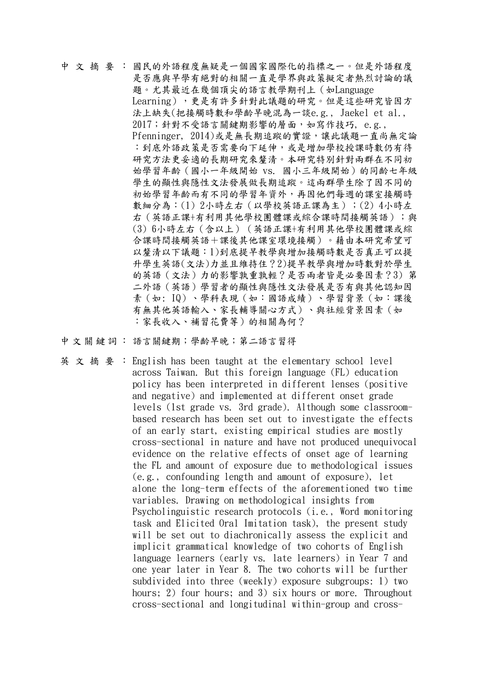中文摘要: 國民的外語程度無疑是一個國家國際化的指標之一。但是外語程度 是否應與早學有絕對的相關一直是學界與政策擬定者熱烈討論的議 題。尤其最近在幾個頂尖的語言教學期刊上(如Language Learning),更是有許多針對此議題的研究。但是這些研究皆因方 法上缺失(把接觸時數和學齡早晚混為一談e.g., Jaekel et al., 2017;針對不受語言關鍵期影響的層面,如寫作技巧, e.g., Pfenninger, 2014)或是無長期追蹤的實證,讓此議題一直尚無定論 :到底外語政策是否需要向下延伸,或是增加學校授課時數仍有待 研究方法更妥適的長期研究來釐清。本研究特別針對兩群在不同初 始學習年齡(國小一年級開始 vs. 國小三年級開始)的同齡七年級 學生的顯性與隱性文法發展做長期追蹤。這兩群學生除了因不同的 初始學習年齡而有不同的學習年資外,再因他們每週的課室接觸時 數細分為:(1) 2小時左右(以學校英語正課為主);(2) 4小時左 右(英語正課+有利用其他學校團體課或綜合課時間接觸英語);與 (3) 6小時左右(含以上)(英語正課+有利用其他學校團體課或綜 合課時間接觸英語+課後其他課室環境接觸)。藉由本研究希望可 以釐清以下議題:1)到底提早教學與增加接觸時數是否真正可以提 升學生英語(文法)力並且維持住?2)提早教學與增加時數對於學生 的英語(文法)力的影響孰重孰輕?是否兩者皆是必要因素?3) 第 二外語(英語)學習者的顯性與隱性文法發展是否有與其他認知因 素(如: IQ)、學科表現(如:國語成績)、學習背景(如:課後 有無其他英語輸入、家長輔導關心方式)、與社經背景因素(如 :家長收入、補習花費等)的相關為何?

中文關鍵詞: 語言關鍵期;學齡早晚;第二語言習得

英文摘要:English has been taught at the elementary school level across Taiwan. But this foreign language (FL) education policy has been interpreted in different lenses (positive and negative) and implemented at different onset grade levels (1st grade vs. 3rd grade). Although some classroombased research has been set out to investigate the effects of an early start, existing empirical studies are mostly cross-sectional in nature and have not produced unequivocal evidence on the relative effects of onset age of learning the FL and amount of exposure due to methodological issues (e.g., confounding length and amount of exposure), let alone the long-term effects of the aforementioned two time variables. Drawing on methodological insights from Psycholinguistic research protocols (i.e., Word monitoring task and Elicited Oral Imitation task), the present study will be set out to diachronically assess the explicit and implicit grammatical knowledge of two cohorts of English language learners (early vs. late learners) in Year 7 and one year later in Year 8. The two cohorts will be further subdivided into three (weekly) exposure subgroups: 1) two hours; 2) four hours; and 3) six hours or more. Throughout cross-sectional and longitudinal within-group and cross-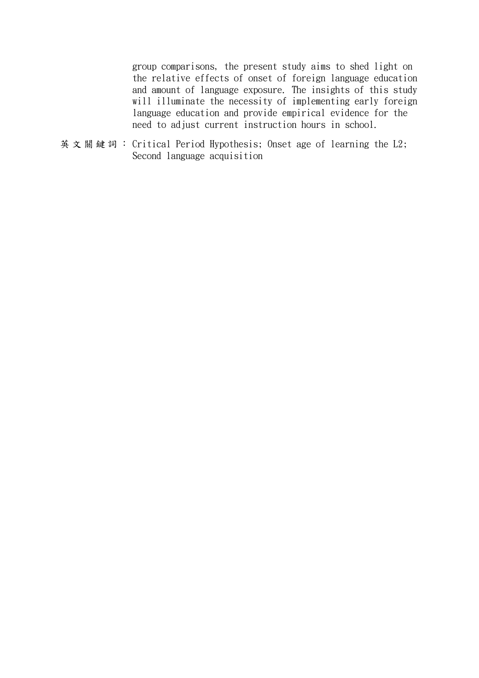group comparisons, the present study aims to shed light on the relative effects of onset of foreign language education and amount of language exposure. The insights of this study will illuminate the necessity of implementing early foreign language education and provide empirical evidence for the need to adjust current instruction hours in school.

英文關鍵詞: Critical Period Hypothesis; Onset age of learning the L2; Second language acquisition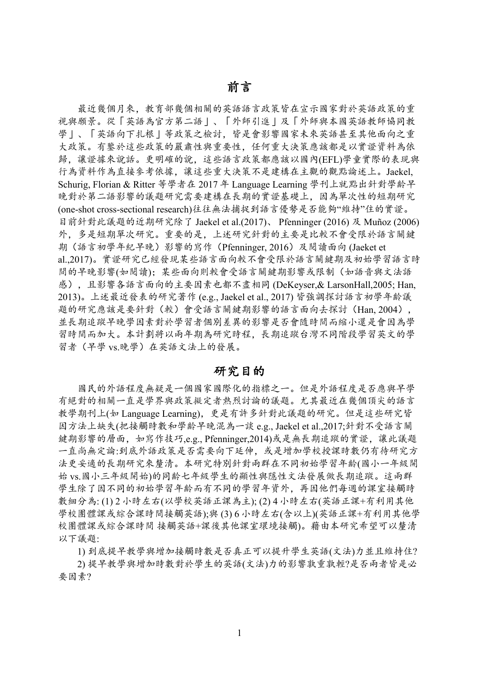最近幾個月來,教育部幾個相關的英語語言政策皆在宣示國家對於英語政策的重 視與願景。從「英語為官方第二語」、「外師引進」及「外師與本國英語教師協同教 學 |、「英語向下扎根 | 等政策之檢討, 皆是會影響國家未來英語甚至其他面向之重 大政策。有鑒於這些政策的嚴肅性與重要性,任何重大決策應該都是以實證資料為依 歸,讓證據來說話。更明確的說,這些語言政策都應該以國內(EFL)學童實際的表現與 行為資料作為直接參考依據,讓這些重大決策不是建構在主觀的觀點論述上。Jaekel. Schurig, Florian & Ritter 等學者在 2017年 Language Learning 學刊上就點出針對學齡早 晚對於第二語影響的議題研究需要建構在長期的實證基礎上,因為單次性的短期研究 (one-shot cross-sectional research)往往無法捕捉到語言優勢是否能夠"維持"住的實證。 目前針對此議題的近期研究除了 Jaekel et al.(2017)、 Pfenninger (2016) 及 Muñoz (2006) 外,多是短期單次研究。重要的是,上述研究針對的主要是比較不會受限於語言關鍵 期(語言初學年紀早晚)影響的寫作 (Pfenninger, 2016) 及閱讀面向(Jaeket et al.,2017)。實證研究已經發現某些語言面向較不會受限於語言關鍵期及初始學習語言時 間的早晚影響(如閱讀):某些面向則較會受語言關鍵期影響或限制(如語音與文法語 感), 且影響各語言面向的主要因素也都不盡相同(DeKeyser,& LarsonHall,2005; Han, 2013)。上述最近發表的研究著作 (e.g., Jaekel et al., 2017) 皆強調探討語言初學年齡議 題的研究應該是要針對(較)會受語言關鍵期影響的語言面向去探討(Han. 2004). 並長期追蹤早晚學因素對於學習者個別差異的影響是否會隨時間而縮小還是會因為學 習時間而加大。本計劃將以兩年期為研究時程、長期追蹤台灣不同階段學習英文的學 習者(早學 vs.晚學)在英語文法上的發展。

## 研究目的

國民的外語程度無疑是一個國家國際化的指標之一。但是外語程度是否應與早學 有絕對的相關一直是學界與政策擬定者熱烈討論的議題。尤其最近在幾個頂尖的語言 教學期刊上(如 Language Learning), 更是有許多針對此議題的研究。但是這些研究皆 因方法上缺失(把接觸時數和學齡早晚混為一談 e.g., Jaekel et al.,2017;針對不受語言關 鍵期影響的層面, 如寫作技巧,e.g., Pfenninger,2014)或是無長期追蹤的實證. 讓此議題 一直尚無定論:到底外語政策是否需要向下延伸, 或是增加學校授課時數仍有待研究方 法更妥適的長期研究來釐清。本研究特別針對兩群在不同初始學習年齡(國小一年級開 始 vs. 國小三年級開始)的同齡七年級學生的顯性與隱性文法發展做長期追蹤。這兩群 學生除了因不同的初始學習年齡而有不同的學習年資外,再因他們每週的課室接觸時 數細分為:(1)2小時左右(以學校英語正課為主):(2)4小時左右(英語正課+有利用其他 學校團體課或綜合課時間接觸英語);與(3)6小時左右(含以上)(英語正課+有利用其他學 校團體課或綜合課時間 接觸英語+課後其他課室環境接觸)。藉由本研究希望可以釐清 以下議題:

1) 到底提早教學與增加接觸時數是否真正可以提升學生英語(文法)力並且維持住?

2) 提早教學與增加時數對於學生的英語(文法)力的影響孰重孰輕?是否兩者皆是必 要因素?

 $\mathbf{1}$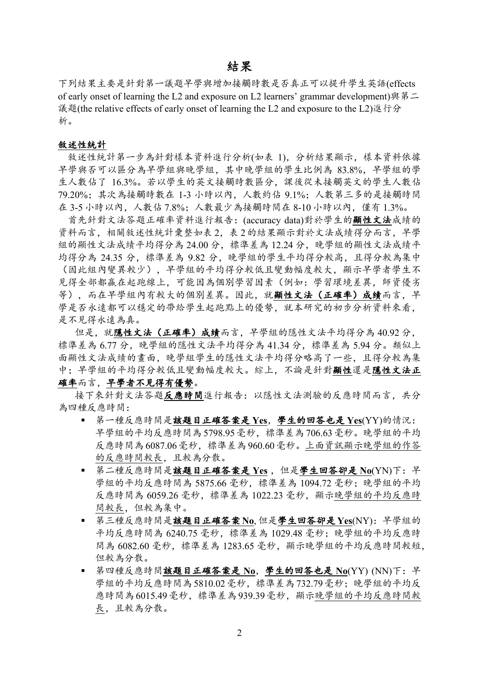## 結果

下列結果主要是針對第一議題早學與增加接觸時數是否真正可以提升學生英語(effects of early onset of learning the L2 and exposure on L2 learners' grammar development)  $\frac{1}{2}$   $\frac{1}{2}$ 議題(the relative effects of early onset of learning the L2 and exposure to the L2)進行分 析。

### 敘述性統計

敘述性統計第一步為針對樣本資料進行分析(如表 1), 分析結果顯示, 樣本資料依據 早學與否可以區分為早學組與晚學組,其中晚學組的學生比例為 83.8%, 早學組的學 生人數佔了 16.3%。若以學生的英文接觸時數區分,課後從未接觸英文的學生人數佔 79.20%; 其次為接觸時數在 1-3 小時以內, 人數約佔 9.1%; 人數第三多的是接觸時間 在 3-5 小時以內, 人數佔 7.8%; 人數最少為接觸時間在 8-10 小時以內, 僅有 1.3%。

首先針對文法答題正確率資料進行報告: (accuracy data)對於學生的顯性文法成績的 資料而言,相關敘述性統計彙整如表2,表2的結果顯示對於文法成績得分而言. 早學 組的顯性文法成績平均得分為 24.00分, 標準差為 12.24分, 晚學組的顯性文法成績平 均得分為 24.35 分, 標準差為 9.82 分, 晚學組的學生平均得分較高, 且得分較為集中 (因此組內變異較少), 早學組的平均得分較低且變動幅度較大, 顯示早學者學生不 見得全部都贏在起跑線上,可能因為個別學習因素(例如:學習環境差異,師資優劣 等),而在早學組內有較大的個別差異。因此,就顯性文法(正確率)成績而言,早 學是否永遠都可以穩定的帶給學生起跑點上的優勢,就本研究的初步分析資料來看. 是不見得永遠為真。

但是,就隱性文法(正確率)成績而言,早學組的隱性文法平均得分為40.92分, 標準差為 6.77分, 晚學組的隱性文法平均得分為 41.34分, 標準差為 5.94分。類似上 面顯性文法成績的畫面,晚學組學生的隱性文法平均得分略高了一些,且得分較為集 中;早學組的平均得分較低且變動幅度較大。綜上,不論是針對顯性還是隱性文法正

## 確率而言,早學者不見得有優勢。

接下來針對文法答題反應時間進行報告: 以隱性文法測驗的反應時間而言, 共分 為四種反應時間:

- 第一種反應時間是該題目正確答案是 Yes, 學生的回答也是 Yes(YY)的情況: 早學組的平均反應時間為5798.95毫秒, 標準差為706.63毫秒。晚學組的平均 反應時間為6087.06毫秒, 標準差為960.60毫秒。上面資訊顯示晚學組的作答 的反應時間較長,且較為分散。
- 第二種反應時間是該題目正確答案是 Yes, 但是學生回答卻是 No(YN)下: 早 學組的平均反應時間為 5875.66 毫秒, 標準差為 1094.72 毫秒; 晚學組的平均 反應時間為 6059.26 毫秒, 標準差為 1022.23 毫秒, 顯示晚學組的平均反應時 間較長,但較為集中。
- 第三種反應時間是該題目正確答案No,但是學生回答卻是Yes(NY): 早學組的 平均反應時間為 6240.75 毫秒, 標準差為 1029.48 毫秒; 晚學組的平均反應時 間為 6082.60 毫秒, 標準差為 1283.65 毫秒, 顯示晚學組的平均反應時間較短, 但較為分散。
- 第四種反應時間該題目正確答案是 No. 學生的回答也是 No(YY) (NN)下: 早 學組的平均反應時間為5810.02毫秒, 標準差為732.79毫秒; 晚學組的平均反 應時間為6015.49毫秒, 標準差為939.39毫秒, 顯示晚學組的平均反應時間較 長,且較為分散。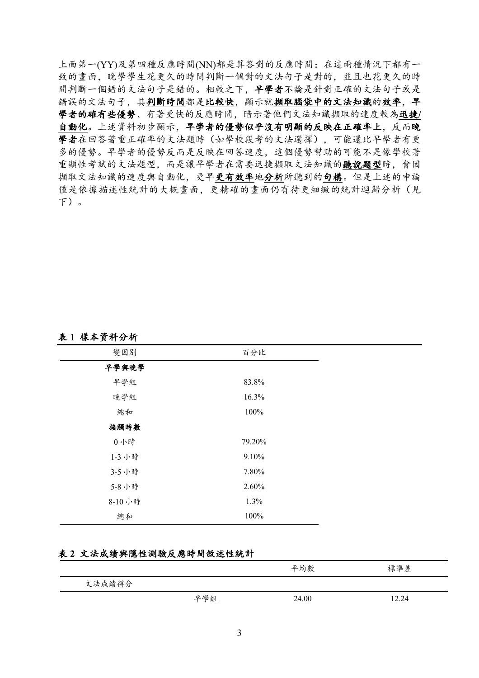上面第一(YY)及第四種反應時間(NN)都是算答對的反應時間: 在這兩種情況下都有一 致的書面,晚學學生花更久的時間判斷一個對的文法句子是對的,並且也花更久的時 間判斷一個錯的文法句子是錯的。相較之下,早學者不論是針對正確的文法句子或是 錯誤的文法句子,其判斷時間都是比較快,顯示就擷取腦袋中的文法知識的效率,早 學者的確有些優勢、有著更快的反應時間,暗示著他們文法知識擷取的速度較為迅捷/ 自動化。上述資料初步顯示, 早學者的優勢似乎沒有明顯的反映在正確率上, 反而晚 學者在回答著重正確率的文法題時(如學校段考的文法選擇), 可能還比早學者有更 多的優勢。早學者的優勢反而是反映在回答速度,這個優勢幫助的可能不是像學校著 重顯性考試的文法題型,而是讓早學者在需要迅捷擷取文法知識的聽說題型時,會因 **撷取文法知識的速度與自動化,更早更有效率地分析所聽到的句構。但是上述的申論** 僅是依據描述性統計的大概書面,更精確的書面仍有待更細緻的統計迴歸分析(見  $F$ )。

### 表1樣本資料分析

| 變因別     | 百分比    |
|---------|--------|
| 早學與晚學   |        |
| 早學組     | 83.8%  |
| 晚學組     | 16.3%  |
| 總和      | 100%   |
| 接觸時數    |        |
| 0小時     | 79.20% |
| 1-3 小時  | 9.10%  |
| 3-5 小時  | 7.80%  |
| 5-8 小時  | 2.60%  |
| 8-10 小時 | 1.3%   |
| 總和      | 100%   |

## 表2 文法成績與隱性測驗反應時間敘述性統計

|        |     | 平均數   | 標準差   |
|--------|-----|-------|-------|
| 文法成績得分 |     |       |       |
|        | 早學組 | 24.00 | 12.24 |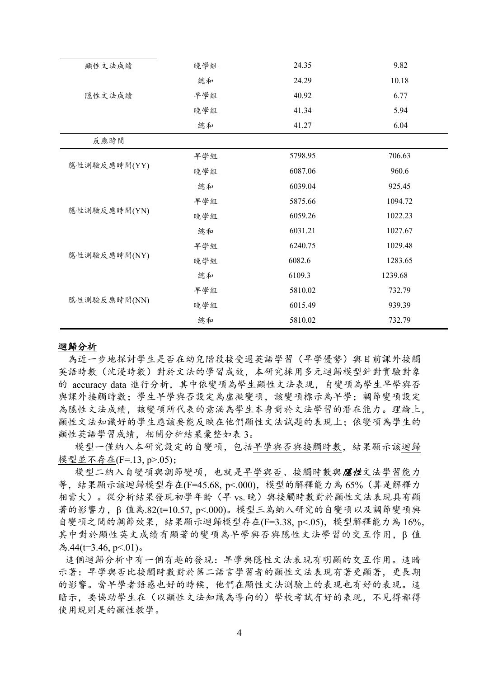| 顯性文法成績       | 晚學組 | 24.35   | 9.82    |
|--------------|-----|---------|---------|
|              | 總和  | 24.29   | 10.18   |
| 隱性文法成績       | 早學組 | 40.92   | 6.77    |
|              | 晚學組 | 41.34   | 5.94    |
|              | 總和  | 41.27   | 6.04    |
| 反應時間         |     |         |         |
|              | 早學組 | 5798.95 | 706.63  |
| 隱性測驗反應時間(YY) | 晚學組 | 6087.06 | 960.6   |
|              | 總和  | 6039.04 | 925.45  |
|              | 早學組 | 5875.66 | 1094.72 |
| 隱性測驗反應時間(YN) | 晚學組 | 6059.26 | 1022.23 |
|              | 總和  | 6031.21 | 1027.67 |
|              | 早學組 | 6240.75 | 1029.48 |
| 隱性測驗反應時間(NY) | 晚學組 | 6082.6  | 1283.65 |
|              | 總和  | 6109.3  | 1239.68 |
|              | 早學組 | 5810.02 | 732.79  |
| 隱性測驗反應時間(NN) | 晚學組 | 6015.49 | 939.39  |
|              | 總和  | 5810.02 | 732.79  |
|              |     |         |         |

#### 迴歸分析

為近一步地探討學生是否在幼兒階段接受過英語學習(早學優勢)與目前課外接觸 英語時數(沈浸時數)對於文法的學習成效,本研究採用多元迴歸模型針對實驗對象 的 accuracy data 進行分析, 其中依變項為學生顯性文法表現, 自變項為學生早學與否 與課外接觸時數: 學生早學與否設定為虛擬變項, 該變項標示為早學: 調節變項設定 為隱性文法成績, 該變項所代表的意涵為學生本身對於文法學習的潛在能力。理論上, 顯性文法知識好的學生應該要能反映在他們顯性文法試題的表現上:依變項為學生的 顯性英語學習成績,相關分析結果彙整如表3。

模型一僅納入本研究設定的自變項,包括早學與否與接觸時數,結果顯示該迴歸 模型並不存在(F=.13, p>.05);

模型二納入自變項與調節變項, 也就是早學與否、接觸時數與**隱性**文法學習能力 等, 結果顯示該迴歸模型存在(F=45.68, p<.000), 模型的解釋能力為 65% (算是解釋力 相當大)。從分析結果發現初學年齡(早 vs. 晚)與接觸時數對於顯性文法表現具有顯 著的影響力, β 值為.82(t=10.57, p<.000)。模型三為納入研究的自變項以及調節變項與 自變項之間的調節效果,結果顯示迴歸模型存在(F=3.38, p<.05), 模型解釋能力為16%, 其中對於顯性英文成績有顯著的變項為早學與否與隱性文法學習的交互作用, B 值 為.44(t=3.46, p<.01)。

這個迴歸分析中有一個有趣的發現:早學與隱性文法表現有明顯的交互作用。這暗 示著: 早學與否比接觸時數對於第二語言學習者的顯性文法表現有著更顯著. 更長期 的影響。當早學者語感也好的時候,他們在顯性文法測驗上的表現也有好的表現。這 暗示, 要協助學生在(以顯性文法知識為導向的)學校考試有好的表現, 不見得都得 使用規則是的顯性教學。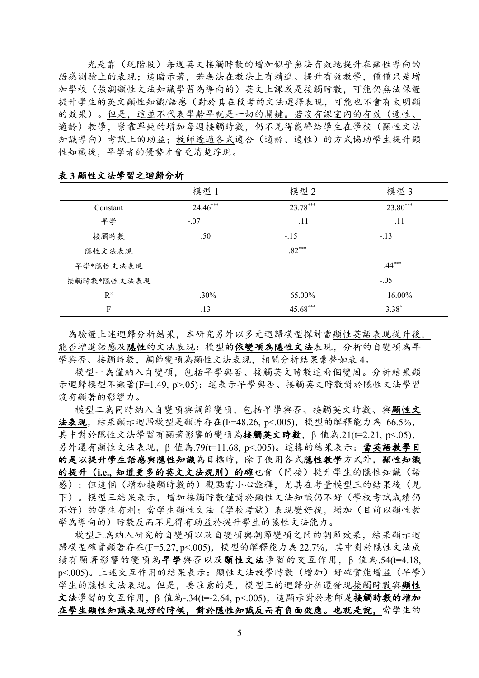光是靠(現階段)每週英文接觸時數的增加似乎無法有效地提升在顯性導向的 語感測驗上的表現:這暗示著,若無法在教法上有精進、提升有效教學,僅僅只是增 加學校(強調顯性文法知識學習為導向的)英文上課或是接觸時數,可能仍無法保證 提升學生的英文顯性知識/語感(對於其在段考的文法選擇表現,可能也不會有太明顯 的效果)。但是,這並不代表學齡早就是一切的關鍵。若沒有課室內的有效(適性、 適齡)教學, 緊靠單純的增加每週接觸時數, 仍不見得能帶給學生在學校(顯性文法 知識導向)考試上的助益:教師透過各式適合(適齡、適性)的方式協助學生提升顯 性知識後,早學者的優勢才會更清楚浮現。

|                | 模型 1     | 模型 2     | 模型 3     |
|----------------|----------|----------|----------|
| Constant       | 24.46*** | 23.78*** | 23.80*** |
| 早學             | $-.07$   | .11      | .11      |
| 接觸時數           | .50      | $-.15$   | $-.13$   |
| 隱性文法表現         |          | $.82***$ |          |
| 早學*隱性文法表現      |          |          | $.44***$ |
| 接觸時數*隱性文法表現    |          |          | $-.05$   |
| R <sup>2</sup> | $.30\%$  | 65.00%   | 16.00%   |
| F              | .13      | 45.68*** | $3.38*$  |

表3顯性文法學習之迴歸分析

為驗證上述迴歸分析結果,本研究另外以多元迴歸模型探討當顯性英語表現提升後, 能否增進語感及隱性的文法表現:模型的依變項為隱性文法表現,分析的自變項為早 學與否、接觸時數,調節變項為顯性文法表現,相關分析結果彙整如表 4。

模型一為僅納入自變項,包括早學與否、接觸英文時數這兩個變因。分析結果顯 示迴歸模型不顯著(F=1.49, p>.05): 這表示早學與否、接觸英文時數對於隱性文法學習 沒有顯著的影響力。

模型二為同時納入自變項與調節變項。包括早學與否、接觸英文時數、與顯性文 法表现, 結果顯示迴歸模型是顯著存在(F=48.26, p<.005), 模型的解釋能力為 66.5%, 其中對於隱性文法學習有顯著影響的變項為接觸英文時數, B 值為.21(t=2.21, p<.05), 另外還有顯性文法表現, β值為.79(t=11.68, p<.005)。這樣的結果表示: 當英語教學目 的是以提升學生語感與隱性知識為目標時,除了使用各式隱性教學方式外,顯性知識 的提升(i.e., 知道更多的英文文法规則)的確也會(間接)提升學生的隱性知識(語 感): 但這個(增加接觸時數的)觀點需小心詮釋, 尤其在考量模型三的結果後(見 下)。模型三結果表示,增加接觸時數僅對於顯性文法知識仍不好(學校考試成績仍 不好)的學生有利: 當學生顯性文法(學校考試)表現變好後, 增加(目前以顯性教 學為導向的)時數反而不見得有助益於提升學生的隱性文法能力。

模型三為納入研究的自變項以及自變項與調節變項之間的調節效果。結果顯示迴 歸模型確實顯著存在(F=5.27, p<.005), 模型的解釋能力為22.7%, 其中對於隱性文法成 績有顯著影響的變項為早學與否以及顯性文法學習的交互作用, B 值為.54(t=4.18, p<.005)。上述交互作用的結果表示: 顯性文法教學時數(增加)好確實能增益(早學) 學生的隱性文法表現。但是,要注意的是,模型三的迴歸分析還發現接觸時數與顯性 文法學習的交互作用, β 值為-.34(t=-2.64, p<.005), 這顯示對於老師是接觸時數的增加 在學生顯性知識表現好的時候,對於隱性知識反而有負面效應。也就是說,當學生的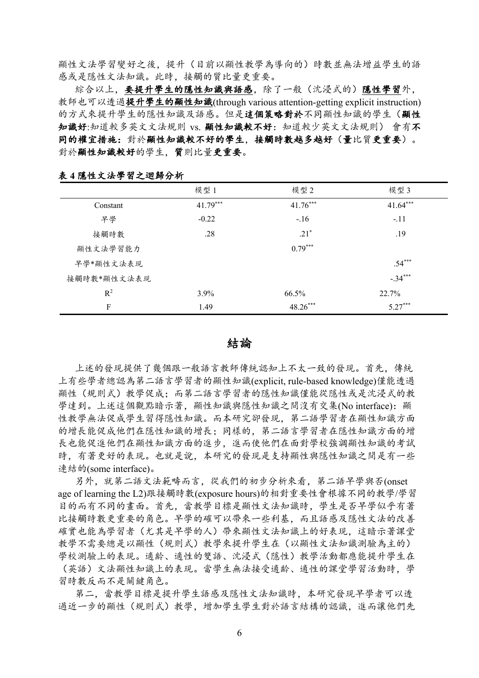顯性文法學習變好之後,提升(目前以顯性教學為導向的)時數並無法增益學生的語 感或是隱性文法知識。此時, 接觸的質比量更重要。

綜合以上, 要提升學生的隱性知識與語感, 除了一般(沈浸式的)隱性學習外, 教師也可以透過提升學生的顯性知識(through various attention-getting explicit instruction) 的方式來提升學生的隱性知識及語感。但是這個策略對於不同顯性知識的學生(顯性 知識好:知道較多英文文法規則 vs. 顯性知識較不好: 知道較少英文文法規則) 會有不 同的權宜措施:對於顯性知識較不好的學生,接觸時數越多越好(量比質更重要)。 對於顯性知識較好的學生,質則比量更重要。

|             | 模型 1       | 模型 2       | 模型 3       |
|-------------|------------|------------|------------|
| Constant    | $41.79***$ | $41.76***$ | $41.64***$ |
| 早學          | $-0.22$    | $-.16$     | $-.11$     |
| 接觸時數        | .28        | $.21*$     | .19        |
| 顯性文法學習能力    |            | $0.79***$  |            |
| 早學*顯性文法表現   |            |            | $.54***$   |
| 接觸時數*顯性文法表現 |            |            | $-.34***$  |
| $R^2$       | 3.9%       | 66.5%      | 22.7%      |
| F           | 1.49       | 48.26***   | $5.27***$  |

表4隱性文法學習之迴歸分析

結論

上述的發現提供了幾個跟一般語言教師傳統認知上不太一致的發現。首先,傳統 上有些學者總認為第二語言學習者的顯性知識(explicit, rule-based knowledge)僅能透過 顯性(規則式)教學促成:而第二語言學習者的隱性知識僅能從隱性或是沈浸式的教 學達到。上述這個觀點暗示著, 顯性知識與隱性知識之間沒有交集(No interface): 顯 性教學無法促成學生習得隱性知識。而本研究卻發現、第二語學習者在顯性知識方面 的增長能促成他們在隱性知識的增長:同樣的,第二語言學習者在隱性知識方面的增 長也能促進他們在顯性知識方面的進步,進而使他們在面對學校強調顯性知識的考試 時,有著更好的表現。也就是說,本研究的發現是支持顯性與隱性知識之間是有一些 連結的(some interface)。

另外, 就第二語文法範疇而言, 從我們的初步分析來看, 第二語早學與否(onset age of learning the L2)跟接觸時數(exposure hours)的相對重要性會根據不同的教學/學習 目的而有不同的畫面。首先, 當教學目標是顯性文法知識時, 學生是否早學似乎有著 比接觸時數更重要的角色。早學的確可以帶來一些利基,而且語感及隱性文法的改善 確實也能為學習者(尤其是早學的人)帶來顯性文法知識上的好表現,這暗示著課堂 教學不需要總是以顯性(規則式)教學來提升學生在(以顯性文法知識測驗為主的) 學校測驗上的表現。適齡、適性的雙語、沈浸式(隱性)教學活動都應能提升學生在 (英語)文法顯性知識上的表現。當學生無法接受適齡、適性的課堂學習活動時, 學 習時數反而不是關鍵角色。

第二、當教學目標是提升學生語感及隱性文法知識時、本研究發現早學者可以透 過近一步的顯性(規則式)教學,增加學生學生對於語言結構的認識,進而讓他們先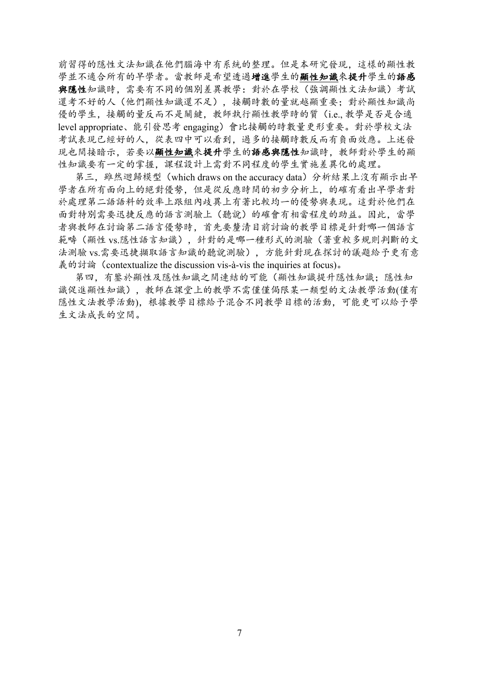前習得的隱性文法知識在他們腦海中有系統的整理。但是本研究發現,這樣的顯性教 學並不適合所有的早學者。當教師是希望透過增進學生的顯性知識來提升學生的語感 與隱性知識時, 需要有不同的個別差異教學: 對於在學校(強調顯性文法知識)考試 還考不好的人(他們顯性知識還不足),接觸時數的量就越顯重要:對於顯性知識尚 優的學生, 接觸的量反而不是關鍵, 教師執行顯性教學時的質 (i.e., 教學是否是合適 level appropriate、能引發思考 engaging)會比接觸的時數量更形重要。對於學校文法 考試表現已經好的人。從表四中可以看到。過多的接觸時數反而有負面效應。上述發 現也間接暗示,若要以顯性知識來提升學生的語感與隱性知識時,教師對於學生的顯 性知識要有一定的掌握。課程設計上需對不同程度的學生實施差異化的處理。

第三, 雖然迴歸模型 (which draws on the accuracy data) 分析結果上沒有顯示出早 學者在所有面向上的絕對優勢。但是從反應時間的初步分析上。的確有看出早學者對 於處理第二語語料的效率上跟組內歧異上有著比較均一的優勢與表現。這對於他們在 面對特別需要迅捷反應的語言測驗上(聽說)的確會有相當程度的助益。因此,當學 者與教師在討論第二語言優勢時,首先要釐清目前討論的教學目標是針對哪一個語言 範疇(顯性 vs.隱性語言知識), 針對的是哪一種形式的測驗(著重較多規則判斷的文 法測驗 vs.需要迅捷擷取語言知識的聽說測驗), 方能針對現在探討的議題給予更有意 義的討論 (contextualize the discussion vis-à-vis the inquiries at focus).

第四,有鑒於顯性及隱性知識之間連結的可能(顯性知識提升隱性知識;隱性知 識促進顯性知識),教師在課堂上的教學不需僅僅侷限某一類型的文法教學活動(僅有 隱性文法教學活動), 根據教學目標給予混合不同教學目標的活動, 可能更可以給予學 生文法成長的空間。